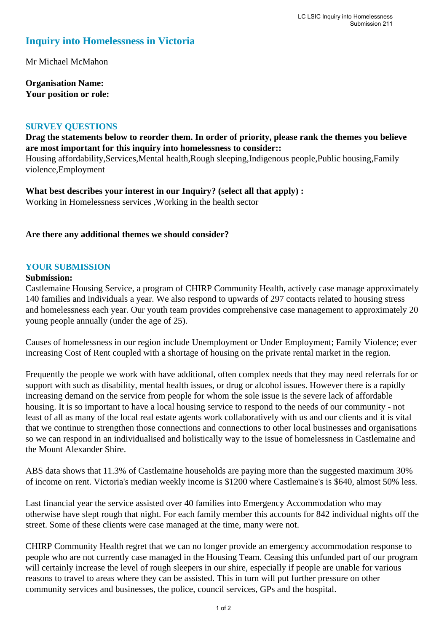# **Inquiry into Homelessness in Victoria**

Mr Michael McMahon

**Organisation Name: Your position or role:** 

#### **SURVEY QUESTIONS**

**Drag the statements below to reorder them. In order of priority, please rank the themes you believe are most important for this inquiry into homelessness to consider::** 

Housing affordability,Services,Mental health,Rough sleeping,Indigenous people,Public housing,Family violence,Employment

**What best describes your interest in our Inquiry? (select all that apply) :**  Working in Homelessness services ,Working in the health sector

### **Are there any additional themes we should consider?**

#### **YOUR SUBMISSION**

#### **Submission:**

Castlemaine Housing Service, a program of CHIRP Community Health, actively case manage approximately 140 families and individuals a year. We also respond to upwards of 297 contacts related to housing stress and homelessness each year. Our youth team provides comprehensive case management to approximately 20 young people annually (under the age of 25).

Causes of homelessness in our region include Unemployment or Under Employment; Family Violence; ever increasing Cost of Rent coupled with a shortage of housing on the private rental market in the region.

Frequently the people we work with have additional, often complex needs that they may need referrals for or support with such as disability, mental health issues, or drug or alcohol issues. However there is a rapidly increasing demand on the service from people for whom the sole issue is the severe lack of affordable housing. It is so important to have a local housing service to respond to the needs of our community - not least of all as many of the local real estate agents work collaboratively with us and our clients and it is vital that we continue to strengthen those connections and connections to other local businesses and organisations so we can respond in an individualised and holistically way to the issue of homelessness in Castlemaine and the Mount Alexander Shire.

ABS data shows that 11.3% of Castlemaine households are paying more than the suggested maximum 30% of income on rent. Victoria's median weekly income is \$1200 where Castlemaine's is \$640, almost 50% less.

Last financial year the service assisted over 40 families into Emergency Accommodation who may otherwise have slept rough that night. For each family member this accounts for 842 individual nights off the street. Some of these clients were case managed at the time, many were not.

CHIRP Community Health regret that we can no longer provide an emergency accommodation response to people who are not currently case managed in the Housing Team. Ceasing this unfunded part of our program will certainly increase the level of rough sleepers in our shire, especially if people are unable for various reasons to travel to areas where they can be assisted. This in turn will put further pressure on other community services and businesses, the police, council services, GPs and the hospital.